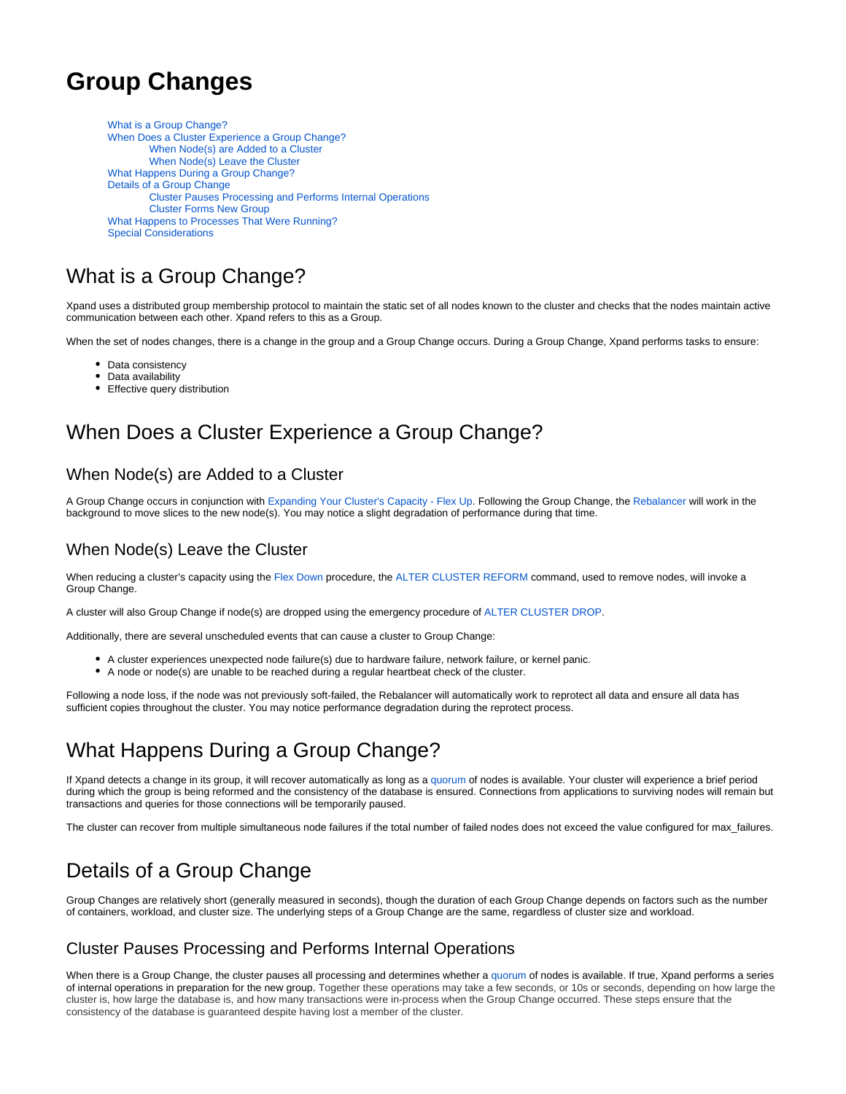# **Group Changes**

[What is a Group Change?](#page-0-0) [When Does a Cluster Experience a Group Change?](#page-0-1) [When Node\(s\) are Added to a Cluster](#page-0-2) [When Node\(s\) Leave the Cluster](#page-0-3) [What Happens During a Group Change?](#page-0-4) [Details of a Group Change](#page-0-5) [Cluster Pauses Processing and Performs Internal Operations](#page-0-6) [Cluster Forms New Group](#page-1-0) [What Happens to Processes That Were Running?](#page-1-1) [Special Considerations](#page-1-2)

### <span id="page-0-0"></span>What is a Group Change?

Xpand uses a distributed group membership protocol to maintain the static set of all nodes known to the cluster and checks that the nodes maintain active communication between each other. Xpand refers to this as a Group.

When the set of nodes changes, there is a change in the group and a Group Change occurs. During a Group Change, Xpand performs tasks to ensure:

- Data consistency
- Data availability
- Effective query distribution

### <span id="page-0-1"></span>When Does a Cluster Experience a Group Change?

#### <span id="page-0-2"></span>When Node(s) are Added to a Cluster

A Group Change occurs in conjunction with [Expanding Your Cluster's Capacity - Flex Up](https://docs.clustrix.com/display/CLXDOC/Expanding+Your+Cluster%27s+Capacity+-+Flex+Up). Following the Group Change, the [Rebalancer](https://docs.clustrix.com/display/CLXDOC/Rebalancer) will work in the background to move slices to the new node(s). You may notice a slight degradation of performance during that time.

#### <span id="page-0-3"></span>When Node(s) Leave the Cluster

When reducing a cluster's capacity using the [Flex Down](https://docs.clustrix.com/display/CLXDOC/Reducing+Your+Cluster%27s+Capacity+-+Flex+Down) procedure, the [ALTER CLUSTER REFORM](https://docs.clustrix.com/display/CLXDOC/ALTER+CLUSTER+Syntax#ALTERCLUSTERSyntax-Flex_Down) command, used to remove nodes, will invoke a Group Change.

A cluster will also Group Change if node(s) are dropped using the emergency procedure of [ALTER CLUSTER DROP.](https://docs.clustrix.com/display/CLXDOC/ALTER+CLUSTER+Syntax#ALTERCLUSTERSyntax-Drop_Node)

Additionally, there are several unscheduled events that can cause a cluster to Group Change:

- A cluster experiences unexpected node failure(s) due to hardware failure, network failure, or kernel panic.
- A node or node(s) are unable to be reached during a regular heartbeat check of the cluster.

Following a node loss, if the node was not previously soft-failed, the Rebalancer will automatically work to reprotect all data and ensure all data has sufficient copies throughout the cluster. You may notice performance degradation during the reprotect process.

## <span id="page-0-4"></span>What Happens During a Group Change?

If Xpand detects a change in its group, it will recover automatically as long as a [quorum](https://docs.clustrix.com/display/CLXDOC/Glossary+of+Terms#GlossaryofTerms-Quorum) of nodes is available. Your cluster will experience a brief period during which the group is being reformed and the consistency of the database is ensured. Connections from applications to surviving nodes will remain but transactions and queries for those connections will be temporarily paused.

The cluster can recover from multiple simultaneous node failures if the total number of failed nodes does not exceed the value configured for max\_failures.

## <span id="page-0-5"></span>Details of a Group Change

Group Changes are relatively short (generally measured in seconds), though the duration of each Group Change depends on factors such as the number of containers, workload, and cluster size. The underlying steps of a Group Change are the same, regardless of cluster size and workload.

#### <span id="page-0-6"></span>Cluster Pauses Processing and Performs Internal Operations

When there is a Group Change, the cluster pauses all processing and determines whether a [quorum](https://docs.clustrix.com/display/CLXDOC/Glossary+of+Terms#GlossaryofTerms-Quorum) of nodes is available. If true, Xpand performs a series of internal operations in preparation for the new group. Together these operations may take a few seconds, or 10s or seconds, depending on how large the cluster is, how large the database is, and how many transactions were in-process when the Group Change occurred. These steps ensure that the consistency of the database is guaranteed despite having lost a member of the cluster.